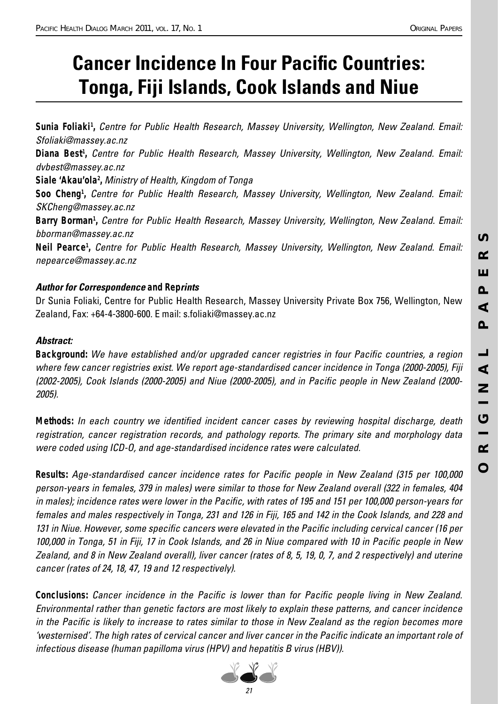# **Cancer Incidence In Four Pacific Countries: Tonga, Fiji Islands, Cook Islands and Niue**

Sunia Foliaki<sup>1</sup>, Centre for Public Health Research, Massey University, Wellington, New Zealand. Email: Sfoliaki@massey.ac.nz Diana Best<sup>1</sup>, Centre for Public Health Research, Massey University, Wellington, New Zealand. Email: dvbest@massey.ac.nz Siale 'Akau'ola<sup>2</sup>, Ministry of Health, Kingdom of Tonga Soo Cheng<sup>1</sup>, Centre for Public Health Research, Massey University, Wellington, New Zealand. Email: SKCheng@massey.ac.nz Barry Borman<sup>1</sup>, Centre for Public Health Research, Massey University, Wellington, New Zealand. Email: bborman@massey.ac.nz *Neil Pearce1 ,* Centre for Public Health Research, Massey University, Wellington, New Zealand. Email: nepearce@massey.ac.nz

## *Author for Correspondence and Reprints*

Dr Sunia Foliaki, Centre for Public Health Research, Massey University Private Box 756, Wellington, New Zealand, Fax: +64-4-3800-600. E mail: s.foliaki@massey.ac.nz

## *Abstract:*

**Background:** We have established and/or upgraded cancer registries in four Pacific countries, a region where few cancer registries exist. We report age-standardised cancer incidence in Tonga (2000-2005), Fiji (2002-2005), Cook Islands (2000-2005) and Niue (2000-2005), and in Pacific people in New Zealand (2000-2005).

*Methods:* In each country we identified incident cancer cases by reviewing hospital discharge, death registration, cancer registration records, and pathology reports. The primary site and morphology data were coded using ICD-O, and age-standardised incidence rates were calculated.

**Results:** Age-standardised cancer incidence rates for Pacific people in New Zealand (315 per 100,000 person-years in females, 379 in males) were similar to those for New Zealand overall (322 in females, 404 in males); incidence rates were lower in the Pacific, with rates of 195 and 151 per 100,000 person-years for females and males respectively in Tonga, 231 and 126 in Fiji, 165 and 142 in the Cook Islands, and 228 and 131 in Niue. However, some specific cancers were elevated in the Pacific including cervical cancer (16 per 100,000 in Tonga, 51 in Fiji, 17 in Cook Islands, and 26 in Niue compared with 10 in Pacific people in New Zealand, and 8 in New Zealand overall), liver cancer (rates of 8, 5, 19, 0, 7, and 2 respectively) and uterine cancer (rates of 24, 18, 47, 19 and 12 respectively).

**Conclusions:** Cancer incidence in the Pacific is lower than for Pacific people living in New Zealand. Environmental rather than genetic factors are most likely to explain these patterns, and cancer incidence in the Pacific is likely to increase to rates similar to those in New Zealand as the region becomes more 'westernised'. The high rates of cervical cancer and liver cancer in the Pacific indicate an important role of infectious disease (human papilloma virus (HPV) and hepatitis B virus (HBV)).

**S** 

 $\alpha$ 

Ш

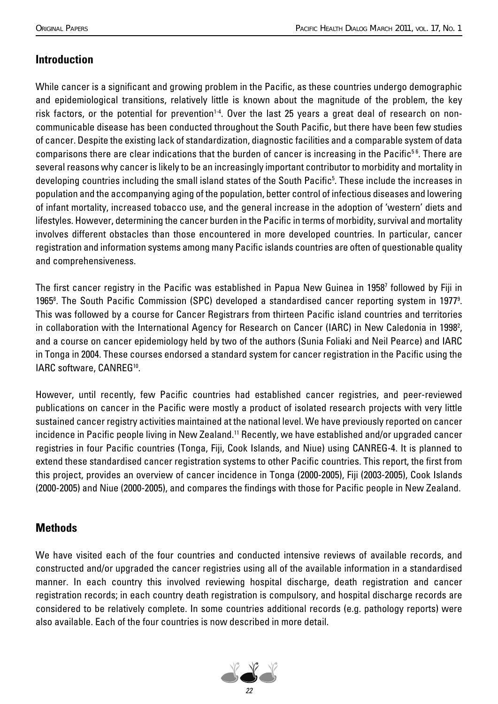# **Introduction**

While cancer is a significant and growing problem in the Pacific, as these countries undergo demographic and epidemiological transitions, relatively little is known about the magnitude of the problem, the key risk factors, or the potential for prevention<sup>1-4</sup>. Over the last 25 years a great deal of research on noncommunicable disease has been conducted throughout the South Pacific, but there have been few studies of cancer. Despite the existing lack of standardization, diagnostic facilities and a comparable system of data comparisons there are clear indications that the burden of cancer is increasing in the Pacific<sup>56</sup>. There are several reasons why cancer is likely to be an increasingly important contributor to morbidity and mortality in developing countries including the small island states of the South Pacific<sup>5</sup>. These include the increases in population and the accompanying aging of the population, better control of infectious diseases and lowering of infant mortality, increased tobacco use, and the general increase in the adoption of 'western' diets and lifestyles. However, determining the cancer burden in the Pacific in terms of morbidity, survival and mortality involves different obstacles than those encountered in more developed countries. In particular, cancer registration and information systems among many Pacific islands countries are often of questionable quality and comprehensiveness.

The first cancer registry in the Pacific was established in Papua New Guinea in 1958<sup>,</sup> followed by Fiji in 1965<sup>8</sup>. The South Pacific Commission (SPC) developed a standardised cancer reporting system in 1977<sup>9</sup>. This was followed by a course for Cancer Registrars from thirteen Pacific island countries and territories in collaboration with the International Agency for Research on Cancer (IARC) in New Caledonia in 1998<sup>2</sup>, and a course on cancer epidemiology held by two of the authors (Sunia Foliaki and Neil Pearce) and IARC in Tonga in 2004. These courses endorsed a standard system for cancer registration in the Pacific using the IARC software, CANREG<sup>10</sup>.

However, until recently, few Pacific countries had established cancer registries, and peer-reviewed publications on cancer in the Pacific were mostly a product of isolated research projects with very little sustained cancer registry activities maintained at the national level. We have previously reported on cancer incidence in Pacific people living in New Zealand.<sup>11</sup> Recently, we have established and/or upgraded cancer registries in four Pacific countries (Tonga, Fiji, Cook Islands, and Niue) using CANREG-4. It is planned to extend these standardised cancer registration systems to other Pacific countries. This report, the first from this project, provides an overview of cancer incidence in Tonga (2000-2005), Fiji (2003-2005), Cook Islands (2000-2005) and Niue (2000-2005), and compares the findings with those for Pacific people in New Zealand.

## **Methods**

We have visited each of the four countries and conducted intensive reviews of available records, and constructed and/or upgraded the cancer registries using all of the available information in a standardised manner. In each country this involved reviewing hospital discharge, death registration and cancer registration records; in each country death registration is compulsory, and hospital discharge records are considered to be relatively complete. In some countries additional records (e.g. pathology reports) were also available. Each of the four countries is now described in more detail.

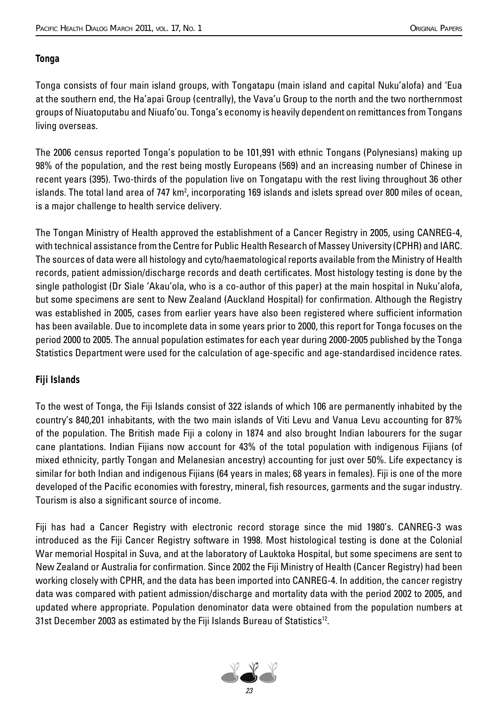#### *Tonga*

Tonga consists of four main island groups, with Tongatapu (main island and capital Nuku'alofa) and 'Eua at the southern end, the Ha'apai Group (centrally), the Vava'u Group to the north and the two northernmost groups of Niuatoputabu and Niuafo'ou. Tonga's economy is heavily dependent on remittances from Tongans living overseas.

The 2006 census reported Tonga's population to be 101,991 with ethnic Tongans (Polynesians) making up 98% of the population, and the rest being mostly Europeans (569) and an increasing number of Chinese in recent years (395). Two-thirds of the population live on Tongatapu with the rest living throughout 36 other islands. The total land area of 747 km², incorporating 169 islands and islets spread over 800 miles of ocean, is a major challenge to health service delivery.

The Tongan Ministry of Health approved the establishment of a Cancer Registry in 2005, using CANREG-4, with technical assistance from the Centre for Public Health Research of Massey University (CPHR) and IARC. The sources of data were all histology and cyto/haematological reports available from the Ministry of Health records, patient admission/discharge records and death certificates. Most histology testing is done by the single pathologist (Dr Siale 'Akau'ola, who is a co-author of this paper) at the main hospital in Nuku'alofa, but some specimens are sent to New Zealand (Auckland Hospital) for confirmation. Although the Registry was established in 2005, cases from earlier years have also been registered where sufficient information has been available. Due to incomplete data in some years prior to 2000, this report for Tonga focuses on the period 2000 to 2005. The annual population estimates for each year during 2000-2005 published by the Tonga Statistics Department were used for the calculation of age-specific and age-standardised incidence rates.

## *Fiji Islands*

To the west of Tonga, the Fiji Islands consist of 322 islands of which 106 are permanently inhabited by the country's 840,201 inhabitants, with the two main islands of Viti Levu and Vanua Levu accounting for 87% of the population. The British made Fiji a colony in 1874 and also brought Indian labourers for the sugar cane plantations. Indian Fijians now account for 43% of the total population with indigenous Fijians (of mixed ethnicity, partly Tongan and Melanesian ancestry) accounting for just over 50%. Life expectancy is similar for both Indian and indigenous Fijians (64 years in males; 68 years in females). Fiji is one of the more developed of the Pacific economies with forestry, mineral, fish resources, garments and the sugar industry. Tourism is also a significant source of income.

Fiji has had a Cancer Registry with electronic record storage since the mid 1980's. CANREG-3 was introduced as the Fiji Cancer Registry software in 1998. Most histological testing is done at the Colonial War memorial Hospital in Suva, and at the laboratory of Lauktoka Hospital, but some specimens are sent to New Zealand or Australia for confirmation. Since 2002 the Fiji Ministry of Health (Cancer Registry) had been working closely with CPHR, and the data has been imported into CANREG-4. In addition, the cancer registry data was compared with patient admission/discharge and mortality data with the period 2002 to 2005, and updated where appropriate. Population denominator data were obtained from the population numbers at 31st December 2003 as estimated by the Fiji Islands Bureau of Statistics<sup>12</sup>.

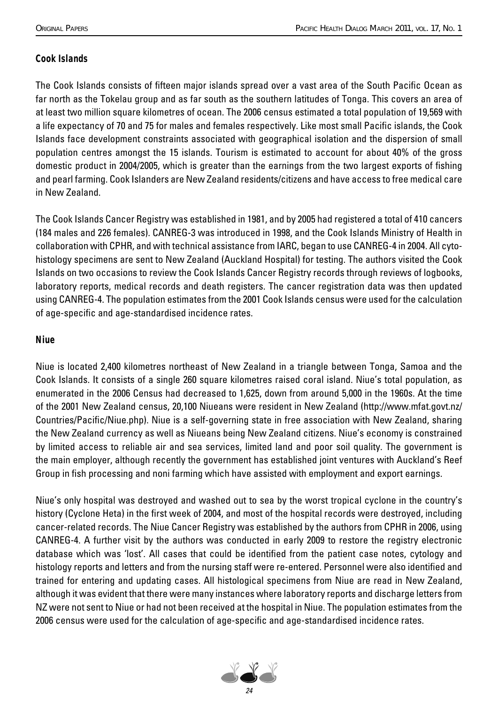## *Cook Islands*

The Cook Islands consists of fifteen major islands spread over a vast area of the South Pacific Ocean as far north as the Tokelau group and as far south as the southern latitudes of Tonga. This covers an area of at least two million square kilometres of ocean. The 2006 census estimated a total population of 19,569 with a life expectancy of 70 and 75 for males and females respectively. Like most small Pacific islands, the Cook Islands face development constraints associated with geographical isolation and the dispersion of small population centres amongst the 15 islands. Tourism is estimated to account for about 40% of the gross domestic product in 2004/2005, which is greater than the earnings from the two largest exports of fishing and pearl farming. Cook Islanders are New Zealand residents/citizens and have access to free medical care in New Zealand.

The Cook Islands Cancer Registry was established in 1981, and by 2005 had registered a total of 410 cancers (184 males and 226 females). CANREG-3 was introduced in 1998, and the Cook Islands Ministry of Health in collaboration with CPHR, and with technical assistance from IARC, began to use CANREG-4 in 2004. All cytohistology specimens are sent to New Zealand (Auckland Hospital) for testing. The authors visited the Cook Islands on two occasions to review the Cook Islands Cancer Registry records through reviews of logbooks, laboratory reports, medical records and death registers. The cancer registration data was then updated using CANREG-4. The population estimates from the 2001 Cook Islands census were used for the calculation of age-specific and age-standardised incidence rates.

#### *Niue*

Niue is located 2,400 kilometres northeast of New Zealand in a triangle between Tonga, Samoa and the Cook Islands. It consists of a single 260 square kilometres raised coral island. Niue's total population, as enumerated in the 2006 Census had decreased to 1,625, down from around 5,000 in the 1960s. At the time of the 2001 New Zealand census, 20,100 Niueans were resident in New Zealand (http://www.mfat.govt.nz/ Countries/Pacific/Niue.php). Niue is a self-governing state in free association with New Zealand, sharing the New Zealand currency as well as Niueans being New Zealand citizens. Niue's economy is constrained by limited access to reliable air and sea services, limited land and poor soil quality. The government is the main employer, although recently the government has established joint ventures with Auckland's Reef Group in fish processing and noni farming which have assisted with employment and export earnings.

Niue's only hospital was destroyed and washed out to sea by the worst tropical cyclone in the country's history (Cyclone Heta) in the first week of 2004, and most of the hospital records were destroyed, including cancer-related records. The Niue Cancer Registry was established by the authors from CPHR in 2006, using CANREG-4. A further visit by the authors was conducted in early 2009 to restore the registry electronic database which was 'lost'. All cases that could be identified from the patient case notes, cytology and histology reports and letters and from the nursing staff were re-entered. Personnel were also identified and trained for entering and updating cases. All histological specimens from Niue are read in New Zealand, although it was evident that there were many instances where laboratory reports and discharge letters from NZ were not sent to Niue or had not been received at the hospital in Niue. The population estimates from the 2006 census were used for the calculation of age-specific and age-standardised incidence rates.

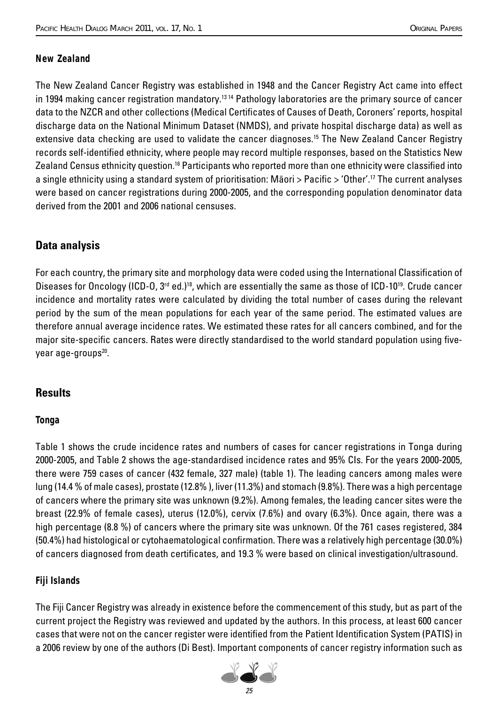#### *New Zealand*

The New Zealand Cancer Registry was established in 1948 and the Cancer Registry Act came into effect in 1994 making cancer registration mandatory.<sup>13 14</sup> Pathology laboratories are the primary source of cancer data to the NZCR and other collections (Medical Certificates of Causes of Death, Coroners' reports, hospital discharge data on the National Minimum Dataset (NMDS), and private hospital discharge data) as well as extensive data checking are used to validate the cancer diagnoses.<sup>15</sup> The New Zealand Cancer Registry records self-identified ethnicity, where people may record multiple responses, based on the Statistics New Zealand Census ethnicity question.<sup>16</sup> Participants who reported more than one ethnicity were classified into a single ethnicity using a standard system of prioritisation: Maori > Pacific > 'Other'.<sup>17</sup> The current analyses were based on cancer registrations during 2000-2005, and the corresponding population denominator data derived from the 2001 and 2006 national censuses.

## **Data analysis**

For each country, the primary site and morphology data were coded using the International Classification of Diseases for Oncology (ICD-O, 3<sup>rd</sup> ed.)<sup>18</sup>, which are essentially the same as those of ICD-10<sup>19</sup>. Crude cancer incidence and mortality rates were calculated by dividing the total number of cases during the relevant period by the sum of the mean populations for each year of the same period. The estimated values are therefore annual average incidence rates. We estimated these rates for all cancers combined, and for the major site-specific cancers. Rates were directly standardised to the world standard population using fiveyear age-groups<sup>20</sup>.

## **Results**

#### *Tonga*

Table 1 shows the crude incidence rates and numbers of cases for cancer registrations in Tonga during 2000-2005, and Table 2 shows the age-standardised incidence rates and 95% CIs. For the years 2000-2005, there were 759 cases of cancer (432 female, 327 male) (table 1). The leading cancers among males were lung (14.4 % of male cases), prostate (12.8% ), liver (11.3%) and stomach (9.8%). There was a high percentage of cancers where the primary site was unknown (9.2%). Among females, the leading cancer sites were the breast (22.9% of female cases), uterus (12.0%), cervix (7.6%) and ovary (6.3%). Once again, there was a high percentage (8.8 %) of cancers where the primary site was unknown. Of the 761 cases registered, 384 (50.4%) had histological or cytohaematological confirmation. There was a relatively high percentage (30.0%) of cancers diagnosed from death certificates, and 19.3 % were based on clinical investigation/ultrasound.

## *Fiji Islands*

The Fiji Cancer Registry was already in existence before the commencement of this study, but as part of the current project the Registry was reviewed and updated by the authors. In this process, at least 600 cancer cases that were not on the cancer register were identified from the Patient Identification System (PATIS) in a 2006 review by one of the authors (Di Best). Important components of cancer registry information such as

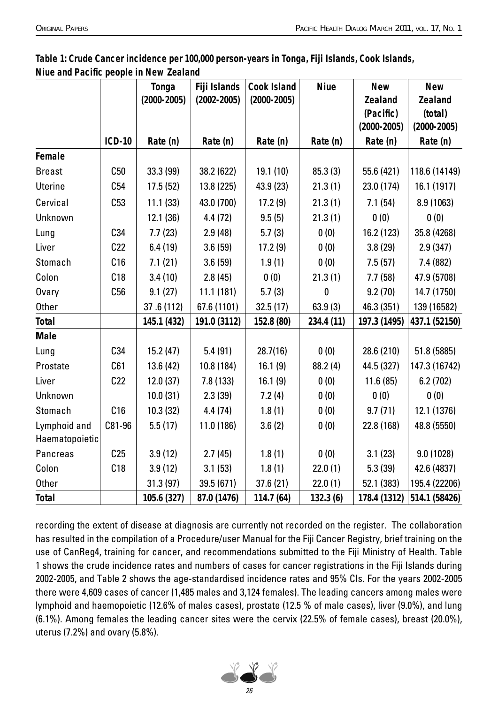|                 |                 | Tonga           | Fiji Islands    | <b>Cook Island</b> | <b>Niue</b> | <b>New</b>      | <b>New</b>      |
|-----------------|-----------------|-----------------|-----------------|--------------------|-------------|-----------------|-----------------|
|                 |                 | $(2000 - 2005)$ | $(2002 - 2005)$ | $(2000 - 2005)$    |             | <b>Zealand</b>  | <b>Zealand</b>  |
|                 |                 |                 |                 |                    |             | (Pacific)       | (total)         |
|                 |                 |                 |                 |                    |             | $(2000 - 2005)$ | $(2000 - 2005)$ |
|                 | <b>ICD-10</b>   | Rate (n)        | Rate (n)        | Rate (n)           | Rate (n)    | Rate (n)        | Rate (n)        |
| Female          |                 |                 |                 |                    |             |                 |                 |
| <b>Breast</b>   | C50             | 33.3 (99)       | 38.2 (622)      | 19.1(10)           | 85.3(3)     | 55.6 (421)      | 118.6 (14149)   |
| <b>Uterine</b>  | C54             | 17.5(52)        | 13.8 (225)      | 43.9 (23)          | 21.3(1)     | 23.0 (174)      | 16.1 (1917)     |
| Cervical        | C53             | 11.1(33)        | 43.0 (700)      | 17.2(9)            | 21.3(1)     | 7.1(54)         | 8.9 (1063)      |
| Unknown         |                 | 12.1(36)        | 4.4(72)         | 9.5(5)             | 21.3(1)     | 0(0)            | 0(0)            |
| Lung            | C34             | 7.7(23)         | 2.9(48)         | 5.7(3)             | 0(0)        | 16.2 (123)      | 35.8 (4268)     |
| Liver           | C22             | 6.4(19)         | 3.6(59)         | 17.2(9)            | 0(0)        | 3.8(29)         | 2.9(347)        |
| Stomach         | C16             | 7.1(21)         | 3.6(59)         | 1.9(1)             | 0(0)        | 7.5(57)         | 7.4 (882)       |
| Colon           | C18             | 3.4(10)         | 2.8(45)         | 0(0)               | 21.3(1)     | 7.7(58)         | 47.9 (5708)     |
| Ovary           | C56             | 9.1(27)         | 11.1(181)       | 5.7(3)             | $\bf{0}$    | 9.2(70)         | 14.7 (1750)     |
| <b>Other</b>    |                 | 37.6 (112)      | 67.6 (1101)     | 32.5(17)           | 63.9(3)     | 46.3 (351)      | 139 (16582)     |
| <b>Total</b>    |                 | 145.1 (432)     | 191.0 (3112)    | 152.8 (80)         | 234.4 (11)  | 197.3 (1495)    | 437.1 (52150)   |
| <b>Male</b>     |                 |                 |                 |                    |             |                 |                 |
| Lung            | C34             | 15.2(47)        | 5.4(91)         | 28.7(16)           | 0(0)        | 28.6 (210)      | 51.8 (5885)     |
| Prostate        | C61             | 13.6(42)        | 10.8 (184)      | 16.1(9)            | 88.2(4)     | 44.5 (327)      | 147.3 (16742)   |
| Liver           | C22             | 12.0(37)        | 7.8(133)        | 16.1(9)            | 0(0)        | 11.6(85)        | 6.2(702)        |
| Unknown         |                 | 10.0(31)        | 2.3(39)         | 7.2(4)             | 0(0)        | 0(0)            | 0(0)            |
| Stomach         | C16             | 10.3(32)        | 4.4(74)         | 1.8(1)             | 0(0)        | 9.7(71)         | 12.1 (1376)     |
| Lymphoid and    | C81-96          | 5.5(17)         | 11.0(186)       | 3.6(2)             | 0(0)        | 22.8 (168)      | 48.8 (5550)     |
| Haematopoietic  |                 |                 |                 |                    |             |                 |                 |
| <b>Pancreas</b> | C <sub>25</sub> | 3.9(12)         | 2.7(45)         | 1.8(1)             | 0(0)        | 3.1(23)         | 9.0(1028)       |
| Colon           | C18             | 3.9(12)         | 3.1(53)         | 1.8(1)             | 22.0(1)     | 5.3(39)         | 42.6 (4837)     |
| <b>Other</b>    |                 | 31.3 (97)       | 39.5 (671)      | 37.6(21)           | 22.0(1)     | 52.1 (383)      | 195.4 (22206)   |
| <b>Total</b>    |                 | 105.6 (327)     | 87.0 (1476)     | 114.7 (64)         | 132.3(6)    | 178.4 (1312)    | 514.1 (58426)   |

**Table 1: Crude Cancer incidence per 100,000 person-years in Tonga, Fiji Islands, Cook Islands, Niue and Pacific people in New Zealand** 

recording the extent of disease at diagnosis are currently not recorded on the register. The collaboration has resulted in the compilation of a Procedure/user Manual for the Fiji Cancer Registry, brief training on the use of CanReg4, training for cancer, and recommendations submitted to the Fiji Ministry of Health. Table 1 shows the crude incidence rates and numbers of cases for cancer registrations in the Fiji Islands during 2002-2005, and Table 2 shows the age-standardised incidence rates and 95% CIs. For the years 2002-2005 there were 4,609 cases of cancer (1,485 males and 3,124 females). The leading cancers among males were lymphoid and haemopoietic (12.6% of males cases), prostate (12.5 % of male cases), liver (9.0%), and lung (6.1%). Among females the leading cancer sites were the cervix (22.5% of female cases), breast (20.0%), uterus (7.2%) and ovary (5.8%).

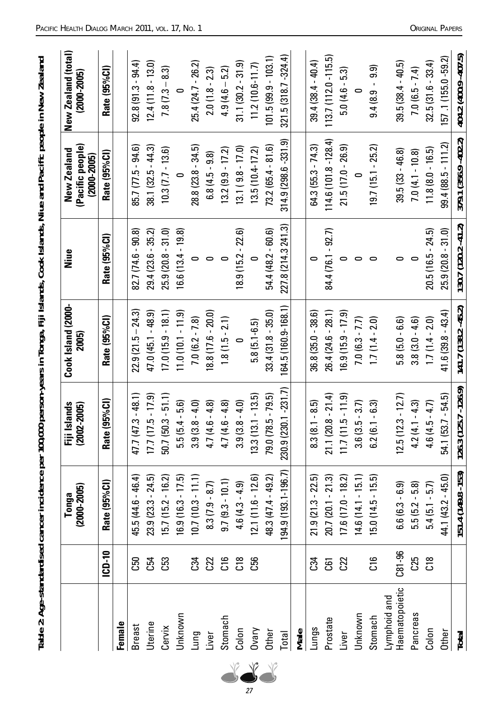|                                |                 | $(2000 - 2005)$<br>Tonga | lands<br>$(2002 - 2005)$<br>Fiji Isl | Cook Island (2000-<br>2005) | Niue                  | (Pacific people)<br>New Zealand<br>$(2000 - 2005)$ | New Zealand (total)<br>$(2000 - 2005)$ |
|--------------------------------|-----------------|--------------------------|--------------------------------------|-----------------------------|-----------------------|----------------------------------------------------|----------------------------------------|
|                                | <b>ICD-10</b>   | Rate (95%Cl)             | Rate (95%Cl)                         | Rate (95%Cl)                | Rate (95%Cl)          | Rate (95%Cl)                                       | Rate (95%Cl)                           |
| Female                         |                 |                          |                                      |                             |                       |                                                    |                                        |
| <b>Breast</b>                  | C50             | 45.5 (44.6 - 46.4)       | $47.7(47.3 - 48.1)$                  | $22.9(21.5 - 24.3)$         | $82.7(74.6 - 90.8)$   | 85.7 (77.5 - 94.6)                                 | $92.8(91.3 - 94.4)$                    |
| Uterine                        | C54             | $23.9(23.3 - 24.5)$      | $17.7(17.5 - 17.9)$                  | $47.0(45.1 - 48.9)$         | $29.4(23.6 - 35.2)$   | $38.1(32.5 - 44.3)$                                | $12.4(11.8 - 13.0)$                    |
| Cervix                         | C <sub>53</sub> | $15.7(15.2 - 16.2)$      | $50.7(50.3 - 51.1)$                  | $17.0(15.9 - 18.1)$         | $25.9(20.8 - 31.0)$   | $10.3(7.7 - 13.6)$                                 | $7.8(7.3 - 8.3)$                       |
| Unknown                        |                 | $16.9(16.3 - 17.5)$      | $5.5(5.4 - 5.6)$                     | $11.0(10.1 - 11.9)$         | $16.6(13.4 - 19.8)$   |                                                    |                                        |
| Lung                           | C34             | $10.7(10.3 - 11.1)$      | $-4.0$<br>3.9(3.8)                   | $7.0(6.2 - 7.8)$            | $\circ$               | $28.8(23.8 - 34.5)$                                | 25.4 (24.7 - 26.2)                     |
| Liver                          | C22             | $8.3(7.9 - 8.7)$         | $-4.8$<br>4.7 (4.6                   | $18.8(17.6 - 20.0)$         | $\circ$               | $6.8(4.5 - 9.8)$                                   | $2.0(1.8 - 2.3)$                       |
| Stomach                        | C16             | $9.7(9.3 - 10.1)$        | $-4.8$<br>4.7 (4.6                   | $1.8(1.5 - 2.1)$            | $\circ$               | $13.2(9.9 - 17.2)$                                 | $4.9(4.6 - 5.2)$                       |
| Colon                          | C18             | $4.6(4.3 - 4.9)$         | $-4.0$<br>3.9(3.8)                   |                             | $18.9(15.2 - 22.6)$   | $13.1(9.8 - 17.0)$                                 | $31.1(30.2 - 31.9)$                    |
| <b>Ovary</b>                   | C56             | $12.1(11.6 - 12.6)$      | $13.3(13.1 - 13.5)$                  | $5.8(5.1 - 6.5)$            |                       | $13.5(10.4 - 17.2)$                                | $11.2(10.6 - 11.7)$                    |
| Other                          |                 | 48.3 (47.4 - 49.2)       | 79.0 (78.5 - 79.5)                   | $33.4(31.8 - 35.0)$         | $54.4(48.2 - 60.6)$   | $73.2(65.4 - 81.6)$                                | $101.5(99.9 - 103.1)$                  |
| Total                          |                 | 194.9 (193.1-196.7)      | 230.9 (230.1 - 231.7)                | 164.5 (160.9-168.1)         | 227.8 (214.3 241.3)   | 314.9 (298.6 - 331.9)                              | $321.5(318.7 - 324.4)$                 |
| Male                           |                 |                          |                                      |                             |                       |                                                    |                                        |
| Lungs                          | C34             | $21.9(21.3 - 22.5)$      | $-8.5$<br>8.3(8.1)                   | $36.8(35.0 - 38.6)$         |                       | $64.3(55.3 - 74.3)$                                | $39.4(38.4 - 40.4)$                    |
| Prostate                       | <b>G</b>        | $20.7(20.1 - 21.3)$      | $21.1(20.8 - 21.4)$                  | $26.4(24.6 - 28.1)$         | 84 4 (76.1 - 92.7)    | $114.6(101.8 - 128.4)$                             | $113.7(112.0 - 115.5)$                 |
| Liver                          | C22             | $17.6(17.0 - 18.2)$      | $11.7(11.5 - 11.9)$                  | $16.9(15.9 - 17.9)$         |                       | $21.5(17.0 - 26.9)$                                | $5.0(4.6 - 5.3)$                       |
| Unknown                        |                 | $14.6(14.1 - 15.1)$      | $(-3.7)$<br>3.6 (3.5                 | $7.0(6.3 - 7.7)$            | 0                     |                                                    |                                        |
| Stomach                        | C16             | $15.0(14.5 - 15.5)$      | $-6.3$<br>6.2(6.1)                   | $1.7(1.4 - 2.0)$            | $\circ$               | $19.7(15.1 - 25.2)$                                | $9.4(8.9 - 9.9)$                       |
| Haematopoietic<br>Lymphoid and | $C81 - 96$      | $6.6(6.3 - 6.9)$         | $12.5(12.3 - 12.7)$                  | $5.8(5.0 - 6.6)$            | $\circ$               | $39.5(33 - 46.8)$                                  | $39.5(38.4 - 40.5)$                    |
| Pancreas                       | C25             | $5.5(5.2 - 5.8)$         | $4.2(4.1 - 4.3)$                     | $3.8(3.0 - 4.6)$            |                       | $7.0(4.1 - 10.8)$                                  | $7.0(6.5 - 7.4)$                       |
| Colon                          | C18             | $5.4(5.1 - 5.7)$         | $(-4.7)$<br>4.6 (4.5                 | $1.7(1.4 - 2.0)$            | $20.5(16.5 - 24.5)$   | $11.8(8.0 - 16.5)$                                 | $32.5(31.6 - 33.4)$                    |
| Other                          |                 | $44.1(43.2 - 45.0)$      | $54.1 (53.7 - 54.5)$                 | $41.6(39.8 - 43.4)$         | $25.9(20.8 - 31.0)$   | $99.4(88.5 - 111.2)$                               | 157.1 (155.0 - 59.2)                   |
| <b>Total</b>                   |                 | 151.4 (149.8 - 153)      | $126.3(125.7 - 126.9)$               | $141.7(138.2 - 45.2)$       | $130.7(120.2 - 41.2)$ | 379.1 (356.9 - 402.2)                              | 404.2 (400.9 - 407.5)                  |

**Table 2: Age-standardised cancer incidence per 100,000 person-years in Tonga, Fiji Islands, Cook Islands, Niue and Pacifi c people in New Zealand**

Table 2: Age-standardised cancer incidence per 100,000 person-years in Tonga, Fiji Islands, Cook Islands, Niue and Pacific people in New Zealand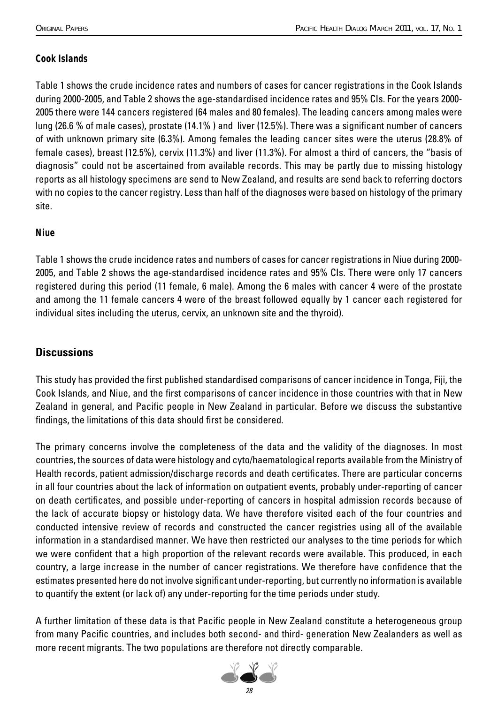## *Cook Islands*

Table 1 shows the crude incidence rates and numbers of cases for cancer registrations in the Cook Islands during 2000-2005, and Table 2 shows the age-standardised incidence rates and 95% CIs. For the years 2000- 2005 there were 144 cancers registered (64 males and 80 females). The leading cancers among males were lung (26.6 % of male cases), prostate (14.1%) and liver (12.5%). There was a significant number of cancers of with unknown primary site (6.3%). Among females the leading cancer sites were the uterus (28.8% of female cases), breast (12.5%), cervix (11.3%) and liver (11.3%). For almost a third of cancers, the "basis of diagnosis" could not be ascertained from available records. This may be partly due to missing histology reports as all histology specimens are send to New Zealand, and results are send back to referring doctors with no copies to the cancer registry. Less than half of the diagnoses were based on histology of the primary site.

#### *Niue*

Table 1 shows the crude incidence rates and numbers of cases for cancer registrations in Niue during 2000- 2005, and Table 2 shows the age-standardised incidence rates and 95% CIs. There were only 17 cancers registered during this period (11 female, 6 male). Among the 6 males with cancer 4 were of the prostate and among the 11 female cancers 4 were of the breast followed equally by 1 cancer each registered for individual sites including the uterus, cervix, an unknown site and the thyroid).

## **Discussions**

This study has provided the first published standardised comparisons of cancer incidence in Tonga, Fiji, the Cook Islands, and Niue, and the first comparisons of cancer incidence in those countries with that in New Zealand in general, and Pacific people in New Zealand in particular. Before we discuss the substantive findings, the limitations of this data should first be considered.

The primary concerns involve the completeness of the data and the validity of the diagnoses. In most countries, the sources of data were histology and cyto/haematological reports available from the Ministry of Health records, patient admission/discharge records and death certificates. There are particular concerns in all four countries about the lack of information on outpatient events, probably under-reporting of cancer on death certificates, and possible under-reporting of cancers in hospital admission records because of the lack of accurate biopsy or histology data. We have therefore visited each of the four countries and conducted intensive review of records and constructed the cancer registries using all of the available information in a standardised manner. We have then restricted our analyses to the time periods for which we were confident that a high proportion of the relevant records were available. This produced, in each country, a large increase in the number of cancer registrations. We therefore have confidence that the estimates presented here do not involve significant under-reporting, but currently no information is available to quantify the extent (or lack of) any under-reporting for the time periods under study.

A further limitation of these data is that Pacific people in New Zealand constitute a heterogeneous group from many Pacific countries, and includes both second- and third- generation New Zealanders as well as more recent migrants. The two populations are therefore not directly comparable.

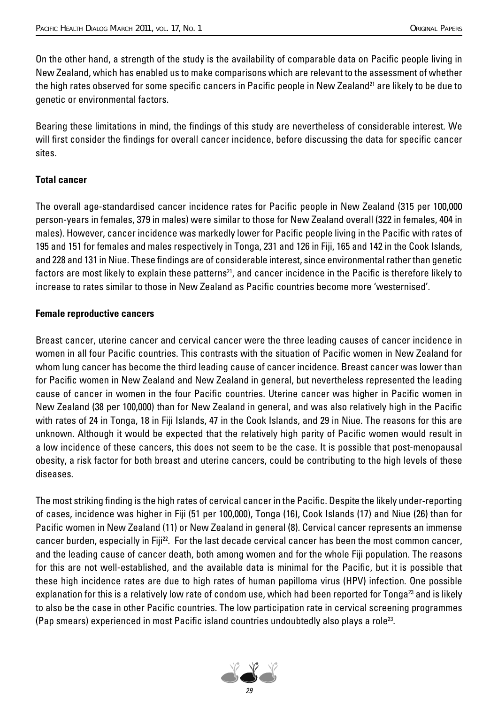On the other hand, a strength of the study is the availability of comparable data on Pacific people living in New Zealand, which has enabled us to make comparisons which are relevant to the assessment of whether the high rates observed for some specific cancers in Pacific people in New Zealand<sup>21</sup> are likely to be due to genetic or environmental factors.

Bearing these limitations in mind, the findings of this study are nevertheless of considerable interest. We will first consider the findings for overall cancer incidence, before discussing the data for specific cancer sites.

#### **Total cancer**

The overall age-standardised cancer incidence rates for Pacific people in New Zealand (315 per 100,000 person-years in females, 379 in males) were similar to those for New Zealand overall (322 in females, 404 in males). However, cancer incidence was markedly lower for Pacific people living in the Pacific with rates of 195 and 151 for females and males respectively in Tonga, 231 and 126 in Fiji, 165 and 142 in the Cook Islands, and 228 and 131 in Niue. These findings are of considerable interest, since environmental rather than genetic factors are most likely to explain these patterns<sup>21</sup>, and cancer incidence in the Pacific is therefore likely to increase to rates similar to those in New Zealand as Pacific countries become more 'westernised'.

#### **Female reproductive cancers**

Breast cancer, uterine cancer and cervical cancer were the three leading causes of cancer incidence in women in all four Pacific countries. This contrasts with the situation of Pacific women in New Zealand for whom lung cancer has become the third leading cause of cancer incidence. Breast cancer was lower than for Pacific women in New Zealand and New Zealand in general, but nevertheless represented the leading cause of cancer in women in the four Pacific countries. Uterine cancer was higher in Pacific women in New Zealand (38 per 100,000) than for New Zealand in general, and was also relatively high in the Pacific with rates of 24 in Tonga, 18 in Fiji Islands, 47 in the Cook Islands, and 29 in Niue. The reasons for this are unknown. Although it would be expected that the relatively high parity of Pacific women would result in a low incidence of these cancers, this does not seem to be the case. It is possible that post-menopausal obesity, a risk factor for both breast and uterine cancers, could be contributing to the high levels of these diseases.

The most striking finding is the high rates of cervical cancer in the Pacific. Despite the likely under-reporting of cases, incidence was higher in Fiji (51 per 100,000), Tonga (16), Cook Islands (17) and Niue (26) than for Pacific women in New Zealand (11) or New Zealand in general (8). Cervical cancer represents an immense cancer burden, especially in Fiji22. For the last decade cervical cancer has been the most common cancer, and the leading cause of cancer death, both among women and for the whole Fiji population. The reasons for this are not well-established, and the available data is minimal for the Pacific, but it is possible that these high incidence rates are due to high rates of human papilloma virus (HPV) infection. One possible explanation for this is a relatively low rate of condom use, which had been reported for Tonga<sup>23</sup> and is likely to also be the case in other Pacific countries. The low participation rate in cervical screening programmes (Pap smears) experienced in most Pacific island countries undoubtedly also plays a role<sup>23</sup>.

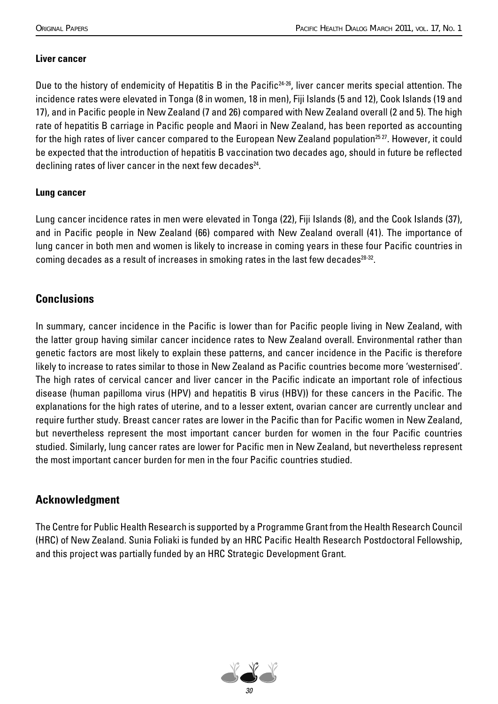#### **Liver cancer**

Due to the history of endemicity of Hepatitis B in the Pacific<sup>24-26</sup>, liver cancer merits special attention. The incidence rates were elevated in Tonga (8 in women, 18 in men), Fiji Islands (5 and 12), Cook Islands (19 and 17), and in Pacific people in New Zealand (7 and 26) compared with New Zealand overall (2 and 5). The high rate of hepatitis B carriage in Pacific people and Maori in New Zealand, has been reported as accounting for the high rates of liver cancer compared to the European New Zealand population<sup>25 27</sup>. However, it could be expected that the introduction of hepatitis B vaccination two decades ago, should in future be reflected declining rates of liver cancer in the next few decades<sup>24</sup>.

#### **Lung cancer**

Lung cancer incidence rates in men were elevated in Tonga (22), Fiji Islands (8), and the Cook Islands (37), and in Pacific people in New Zealand (66) compared with New Zealand overall (41). The importance of lung cancer in both men and women is likely to increase in coming years in these four Pacific countries in coming decades as a result of increases in smoking rates in the last few decades $28-32$ .

## **Conclusions**

In summary, cancer incidence in the Pacific is lower than for Pacific people living in New Zealand, with the latter group having similar cancer incidence rates to New Zealand overall. Environmental rather than genetic factors are most likely to explain these patterns, and cancer incidence in the Pacific is therefore likely to increase to rates similar to those in New Zealand as Pacific countries become more 'westernised'. The high rates of cervical cancer and liver cancer in the Pacific indicate an important role of infectious disease (human papilloma virus (HPV) and hepatitis B virus (HBV)) for these cancers in the Pacific. The explanations for the high rates of uterine, and to a lesser extent, ovarian cancer are currently unclear and require further study. Breast cancer rates are lower in the Pacific than for Pacific women in New Zealand, but nevertheless represent the most important cancer burden for women in the four Pacific countries studied. Similarly, lung cancer rates are lower for Pacific men in New Zealand, but nevertheless represent the most important cancer burden for men in the four Pacific countries studied.

## **Acknowledgment**

The Centre for Public Health Research is supported by a Programme Grant from the Health Research Council (HRC) of New Zealand. Sunia Foliaki is funded by an HRC Pacific Health Research Postdoctoral Fellowship, and this project was partially funded by an HRC Strategic Development Grant.

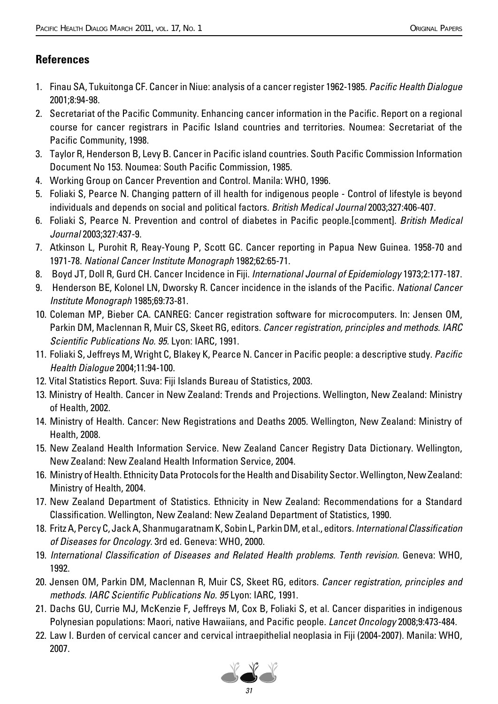# **References**

- 1. Finau SA, Tukuitonga CF. Cancer in Niue: analysis of a cancer register 1962-1985. Pacific Health Dialogue 2001;8:94-98.
- 2. Secretariat of the Pacific Community. Enhancing cancer information in the Pacific. Report on a regional course for cancer registrars in Pacific Island countries and territories. Noumea: Secretariat of the Pacific Community, 1998.
- 3. Taylor R, Henderson B, Levy B. Cancer in Pacific island countries. South Pacific Commission Information Document No 153. Noumea: South Pacific Commission, 1985.
- 4. Working Group on Cancer Prevention and Control. Manila: WHO, 1996.
- 5. Foliaki S, Pearce N. Changing pattern of ill health for indigenous people Control of lifestyle is beyond individuals and depends on social and political factors. British Medical Journal 2003;327:406-407.
- 6. Foliaki S, Pearce N. Prevention and control of diabetes in Pacific people. [comment]. British Medical Journal 2003;327:437-9.
- 7. Atkinson L, Purohit R, Reay-Young P, Scott GC. Cancer reporting in Papua New Guinea. 1958-70 and 1971-78. National Cancer Institute Monograph 1982;62:65-71.
- 8. Boyd JT, Doll R, Gurd CH. Cancer Incidence in Fiji. International Journal of Epidemiology 1973;2:177-187.
- 9. Henderson BE, Kolonel LN, Dworsky R. Cancer incidence in the islands of the Pacific. National Cancer Institute Monograph 1985;69:73-81.
- 10. Coleman MP, Bieber CA. CANREG: Cancer registration software for microcomputers. In: Jensen OM, Parkin DM, Maclennan R, Muir CS, Skeet RG, editors. Cancer registration, principles and methods. IARC Scientific Publications No. 95. Lyon: IARC, 1991.
- 11. Foliaki S, Jeffreys M, Wright C, Blakey K, Pearce N. Cancer in Pacific people: a descriptive study. Pacific Health Dialogue 2004;11:94-100.
- 12. Vital Statistics Report. Suva: Fiji Islands Bureau of Statistics, 2003.
- 13. Ministry of Health. Cancer in New Zealand: Trends and Projections. Wellington, New Zealand: Ministry of Health, 2002.
- 14. Ministry of Health. Cancer: New Registrations and Deaths 2005. Wellington, New Zealand: Ministry of Health, 2008.
- 15. New Zealand Health Information Service. New Zealand Cancer Registry Data Dictionary. Wellington, New Zealand: New Zealand Health Information Service, 2004.
- 16. Ministry of Health. Ethnicity Data Protocols for the Health and Disability Sector. Wellington, New Zealand: Ministry of Health, 2004.
- 17. New Zealand Department of Statistics. Ethnicity in New Zealand: Recommendations for a Standard Classification. Wellington, New Zealand: New Zealand Department of Statistics, 1990.
- 18. Fritz A, Percy C, Jack A, Shanmugaratnam K, Sobin L, Parkin DM, et al., editors. International Classification of Diseases for Oncology. 3rd ed. Geneva: WHO, 2000.
- 19. International Classification of Diseases and Related Health problems. Tenth revision. Geneva: WHO, 1992.
- 20. Jensen OM, Parkin DM, Maclennan R, Muir CS, Skeet RG, editors. Cancer registration, principles and methods. IARC Scientific Publications No. 95 Lyon: IARC, 1991.
- 21. Dachs GU, Currie MJ, McKenzie F, Jeffreys M, Cox B, Foliaki S, et al. Cancer disparities in indigenous Polynesian populations: Maori, native Hawaiians, and Pacific people. Lancet Oncology 2008;9:473-484.
- 22. Law I. Burden of cervical cancer and cervical intraepithelial neoplasia in Fiji (2004-2007). Manila: WHO, 2007.